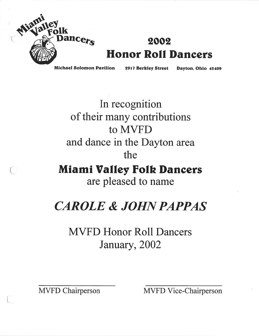

## **2002 Honor Roll Dancers**

Michael Solomon Pavilion <sup>2917</sup> Berkley Street Dayton. Ohio <sup>45409</sup>

In recognition of their many contributions to MVFD and dance in the Dayton area the

**Miami Valley Folk Dancers** are pleased to name

## *CAROLE* & *JOHNPAPPAS*

MVFD Honor Roll Dancers January, 2002

\.

MVFD Chairperson MVFD Vice-Chairperson